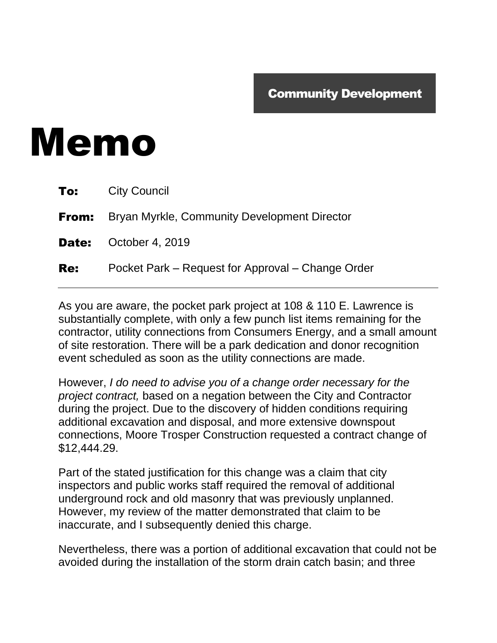## Memo

|            | <b>To:</b> City Council                                   |
|------------|-----------------------------------------------------------|
|            | <b>From:</b> Bryan Myrkle, Community Development Director |
|            | <b>Date:</b> October 4, 2019                              |
| <b>Re:</b> | Pocket Park – Request for Approval – Change Order         |

As you are aware, the pocket park project at 108 & 110 E. Lawrence is substantially complete, with only a few punch list items remaining for the contractor, utility connections from Consumers Energy, and a small amount of site restoration. There will be a park dedication and donor recognition event scheduled as soon as the utility connections are made.

However, *I do need to advise you of a change order necessary for the project contract,* based on a negation between the City and Contractor during the project. Due to the discovery of hidden conditions requiring additional excavation and disposal, and more extensive downspout connections, Moore Trosper Construction requested a contract change of \$12,444.29.

Part of the stated justification for this change was a claim that city inspectors and public works staff required the removal of additional underground rock and old masonry that was previously unplanned. However, my review of the matter demonstrated that claim to be inaccurate, and I subsequently denied this charge.

Nevertheless, there was a portion of additional excavation that could not be avoided during the installation of the storm drain catch basin; and three